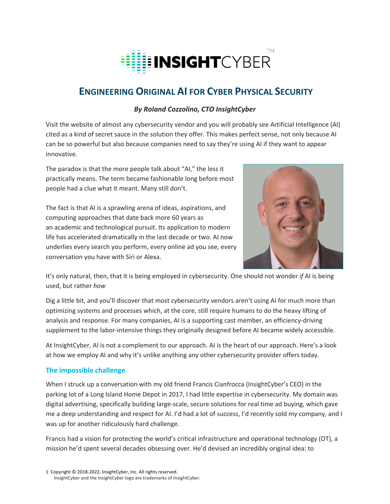

# **ENGINEERING ORIGINAL AI FOR CYBER PHYSICAL SECURITY**

## *By Roland Cozzolino, CTO InsightCyber*

Visit the website of almost any cybersecurity vendor and you will probably see Artificial Intelligence (AI) cited as a kind of secret sauce in the solution they offer. This makes perfect sense, not only because AI can be so powerful but also because companies need to say they're using AI if they want to appear innovative.

The paradox is that the more people talk about "AI," the less it practically means. The term became fashionable long before most people had a clue what it meant. Many still don't.

The fact is that AI is a sprawling arena of ideas, aspirations, and computing approaches that date back more 60 years as an academic and technological pursuit. Its application to modern life has accelerated dramatically in the last decade or two. AI now underlies every search you perform, every online ad you see, every conversation you have with Siri or Alexa.



It's only natural, then, that it is being employed in cybersecurity. One should not wonder *if* AI is being used, but rather *how*

Dig a little bit, and you'll discover that most cybersecurity vendors aren't using AI for much more than optimizing systems and processes which, at the core, still require humans to do the heavy lifting of analysis and response. For many companies, AI is a supporting cast member, an efficiency-driving supplement to the labor-intensive things they originally designed before AI became widely accessible.

At InsightCyber, AI is not a complement to our approach. AI is the heart of our approach. Here's a look at how we employ AI and why it's unlike anything any other cybersecurity provider offers today.

## **The impossible challenge**

When I struck up a conversation with my old friend Francis Cianfrocca (InsightCyber's CEO) in the parking lot of a Long Island Home Depot in 2017, I had little expertise in cybersecurity. My domain was digital advertising, specifically building large-scale, secure solutions for real time ad buying, which gave me a deep understanding and respect for AI. I'd had a lot of success, I'd recently sold my company, and I was up for another ridiculously hard challenge.

Francis had a vision for protecting the world's critical infrastructure and operational technology (OT), a mission he'd spent several decades obsessing over. He'd devised an incredibly original idea: to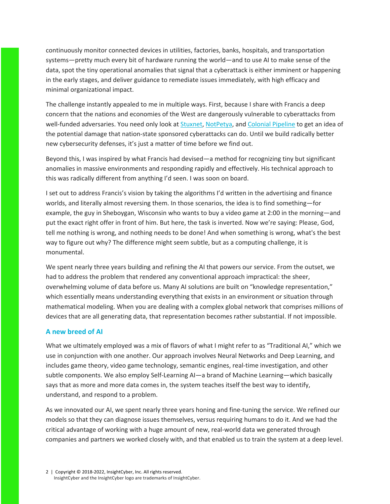continuously monitor connected devices in utilities, factories, banks, hospitals, and transportation systems—pretty much every bit of hardware running the world—and to use AI to make sense of the data, spot the tiny operational anomalies that signal that a cyberattack is either imminent or happening in the early stages, and deliver guidance to remediate issues immediately, with high efficacy and minimal organizational impact.

The challenge instantly appealed to me in multiple ways. First, because I share with Francis a deep concern that the nations and economies of the West are dangerously vulnerable to cyberattacks from well-funded adversaries. You need only look at Stuxnet, NotPetya, and Colonial Pipeline to get an idea of the potential damage that nation-state sponsored cyberattacks can do. Until we build radically better new cybersecurity defenses, it's just a matter of time before we find out.

Beyond this, I was inspired by what Francis had devised—a method for recognizing tiny but significant anomalies in massive environments and responding rapidly and effectively. His technical approach to this was radically different from anything I'd seen. I was soon on board.

I set out to address Francis's vision by taking the algorithms I'd written in the advertising and finance worlds, and literally almost reversing them. In those scenarios, the idea is to find something—for example, the guy in Sheboygan, Wisconsin who wants to buy a video game at 2:00 in the morning—and put the exact right offer in front of him. But here, the task is inverted. Now we're saying: Please, God, tell me nothing is wrong, and nothing needs to be done! And when something is wrong, what's the best way to figure out why? The difference might seem subtle, but as a computing challenge, it is monumental.

We spent nearly three years building and refining the AI that powers our service. From the outset, we had to address the problem that rendered any conventional approach impractical: the sheer, overwhelming volume of data before us. Many AI solutions are built on "knowledge representation," which essentially means understanding everything that exists in an environment or situation through mathematical modeling. When you are dealing with a complex global network that comprises millions of devices that are all generating data, that representation becomes rather substantial. If not impossible.

#### **A new breed of AI**

What we ultimately employed was a mix of flavors of what I might refer to as "Traditional AI," which we use in conjunction with one another. Our approach involves Neural Networks and Deep Learning, and includes game theory, video game technology, semantic engines, real-time investigation, and other subtle components. We also employ Self-Learning AI—a brand of Machine Learning—which basically says that as more and more data comes in, the system teaches itself the best way to identify, understand, and respond to a problem.

As we innovated our AI, we spent nearly three years honing and fine-tuning the service. We refined our models so that they can diagnose issues themselves, versus requiring humans to do it. And we had the critical advantage of working with a huge amount of new, real-world data we generated through companies and partners we worked closely with, and that enabled us to train the system at a deep level.

2 | Copyright © 2018-2022, InsightCyber, Inc. All rights reserved. InsightCyber and the InsightCyber logo are trademarks of InsightCyber.